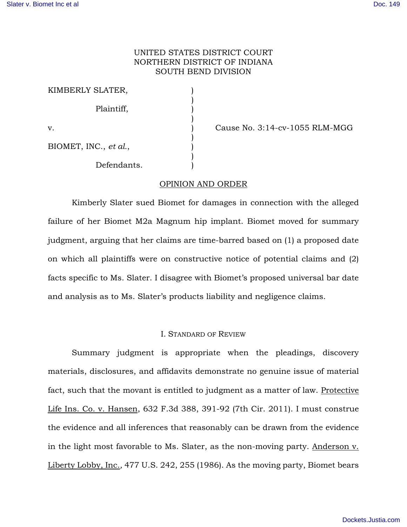# UNITED STATES DISTRICT COURT NORTHERN DISTRICT OF INDIANA SOUTH BEND DIVISION

| KIMBERLY SLATER,      |  |
|-----------------------|--|
| Plaintiff,            |  |
| v.                    |  |
| BIOMET, INC., et al., |  |
| Defendants.           |  |

Cause No. 3:14-cv-1055 RLM-MGG

# OPINION AND ORDER

Kimberly Slater sued Biomet for damages in connection with the alleged failure of her Biomet M2a Magnum hip implant. Biomet moved for summary judgment, arguing that her claims are time-barred based on (1) a proposed date on which all plaintiffs were on constructive notice of potential claims and (2) facts specific to Ms. Slater. I disagree with Biomet's proposed universal bar date and analysis as to Ms. Slater's products liability and negligence claims.

## I. STANDARD OF REVIEW

Summary judgment is appropriate when the pleadings, discovery materials, disclosures, and affidavits demonstrate no genuine issue of material fact, such that the movant is entitled to judgment as a matter of law. Protective Life Ins. Co. v. Hansen, 632 F.3d 388, 391-92 (7th Cir. 2011). I must construe the evidence and all inferences that reasonably can be drawn from the evidence in the light most favorable to Ms. Slater, as the non-moving party. Anderson v. Liberty Lobby, Inc.*,* 477 U.S. 242, 255 (1986). As the moving party, Biomet bears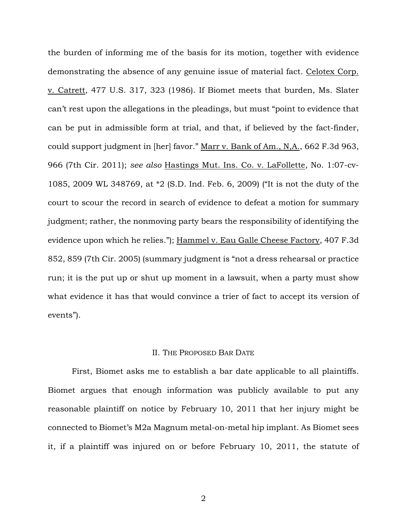the burden of informing me of the basis for its motion, together with evidence demonstrating the absence of any genuine issue of material fact. Celotex Corp. v. Catrett, 477 U.S. 317, 323 (1986). If Biomet meets that burden, Ms. Slater can't rest upon the allegations in the pleadings, but must "point to evidence that can be put in admissible form at trial, and that, if believed by the fact-finder, could support judgment in [her] favor." Marr v. Bank of Am., N,A., 662 F.3d 963, 966 (7th Cir. 2011); *see also* Hastings Mut. Ins. Co. v. LaFollette, No. 1:07-cv-1085, 2009 WL 348769, at \*2 (S.D. Ind. Feb. 6, 2009) ("It is not the duty of the court to scour the record in search of evidence to defeat a motion for summary judgment; rather, the nonmoving party bears the responsibility of identifying the evidence upon which he relies."); Hammel v. Eau Galle Cheese Factory, 407 F.3d 852, 859 (7th Cir. 2005) (summary judgment is "not a dress rehearsal or practice run; it is the put up or shut up moment in a lawsuit, when a party must show what evidence it has that would convince a trier of fact to accept its version of events").

# II. THE PROPOSED BAR DATE

First, Biomet asks me to establish a bar date applicable to all plaintiffs. Biomet argues that enough information was publicly available to put any reasonable plaintiff on notice by February 10, 2011 that her injury might be connected to Biomet's M2a Magnum metal-on-metal hip implant. As Biomet sees it, if a plaintiff was injured on or before February 10, 2011, the statute of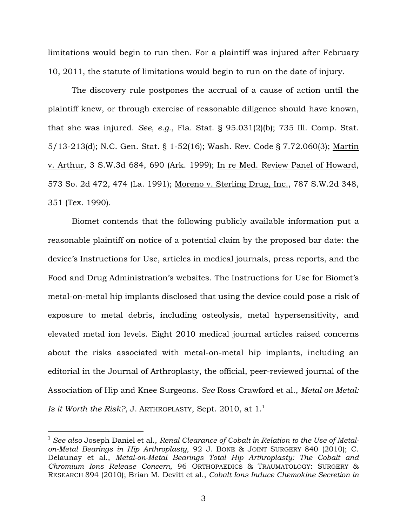limitations would begin to run then. For a plaintiff was injured after February 10, 2011, the statute of limitations would begin to run on the date of injury.

The discovery rule postpones the accrual of a cause of action until the plaintiff knew, or through exercise of reasonable diligence should have known, that she was injured. *See, e.g.*, Fla. Stat. § 95.031(2)(b); 735 Ill. Comp. Stat. 5/13-213(d); N.C. Gen. Stat. § 1-52(16); Wash. Rev. Code § 7.72.060(3); Martin v. Arthur, 3 S.W.3d 684, 690 (Ark. 1999); In re Med. Review Panel of Howard, 573 So. 2d 472, 474 (La. 1991); Moreno v. Sterling Drug, Inc., 787 S.W.2d 348, 351 (Tex. 1990).

Biomet contends that the following publicly available information put a reasonable plaintiff on notice of a potential claim by the proposed bar date: the device's Instructions for Use, articles in medical journals, press reports, and the Food and Drug Administration's websites. The Instructions for Use for Biomet's metal-on-metal hip implants disclosed that using the device could pose a risk of exposure to metal debris, including osteolysis, metal hypersensitivity, and elevated metal ion levels. Eight 2010 medical journal articles raised concerns about the risks associated with metal-on-metal hip implants, including an editorial in the Journal of Arthroplasty, the official, peer-reviewed journal of the Association of Hip and Knee Surgeons. *See* Ross Crawford et al., *Metal on Metal: Is it Worth the Risk?*, J. ARTHROPLASTY, Sept. 2010, at 1.<sup>1</sup>

 $\overline{a}$ 

<sup>1</sup> *See also* Joseph Daniel et al., *Renal Clearance of Cobalt in Relation to the Use of Metalon-Metal Bearings in Hip Arthroplasty*, 92 J. BONE & JOINT SURGERY 840 (2010); C. Delaunay et al., *Metal-on-Metal Bearings Total Hip Arthroplasty: The Cobalt and Chromium Ions Release Concern*, 96 ORTHOPAEDICS & TRAUMATOLOGY: SURGERY & RESEARCH 894 (2010); Brian M. Devitt et al., *Cobalt Ions Induce Chemokine Secretion in*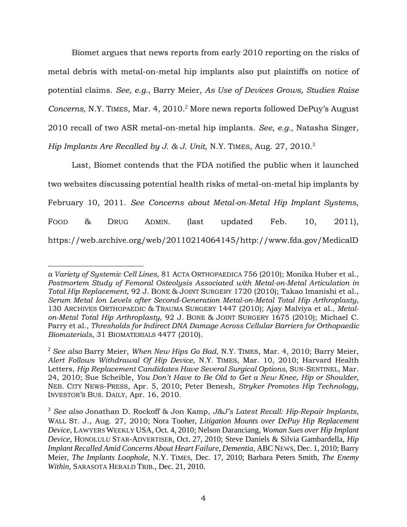Biomet argues that news reports from early 2010 reporting on the risks of metal debris with metal-on-metal hip implants also put plaintiffs on notice of potential claims. *See, e.g.*, Barry Meier, *As Use of Devices Grows, Studies Raise*  Concerns, N.Y. TIMES, Mar. 4, 2010.<sup>2</sup> More news reports followed DePuy's August 2010 recall of two ASR metal-on-metal hip implants. *See, e.g.*, Natasha Singer, *Hip Implants Are Recalled by J. & J. Unit*, N.Y. TIMES, Aug. 27, 2010.<sup>3</sup>

Last, Biomet contends that the FDA notified the public when it launched two websites discussing potential health risks of metal-on-metal hip implants by February 10, 2011. *See Concerns about Metal-on-Metal Hip Implant Systems*, FOOD & DRUG ADMIN. (last updated Feb. 10, 2011), https://web.archive.org/web/20110214064145/http://www.fda.gov/MedicalD

-

*a Variety of Systemic Cell Lines*, 81 ACTA ORTHOPAEDICA 756 (2010); Monika Huber et al., *Postmortem Study of Femoral Osteolysis Associated with Metal-on-Metal Articulation in Total Hip Replacement*, 92 J. BONE & JOINT SURGERY 1720 (2010); Takao Imanishi et al., *Serum Metal Ion Levels after Second-Generation Metal-on-Metal Total Hip Arthroplasty*, 130 ARCHIVES ORTHOPAEDIC & TRAUMA SURGERY 1447 (2010); Ajay Malviya et al., *Metalon-Metal Total Hip Arthroplasty*, 92 J. BONE & JOINT SURGERY 1675 (2010); Michael C. Parry et al., *Thresholds for Indirect DNA Damage Across Cellular Barriers for Orthopaedic Biomaterials*, 31 BIOMATERIALS 4477 (2010).

<sup>2</sup> *See also* Barry Meier, *When New Hips Go Bad*, N.Y. TIMES, Mar. 4, 2010; Barry Meier, *Alert Follows Withdrawal Of Hip Device*, N.Y. TIMES, Mar. 10, 2010; Harvard Health Letters, *Hip Replacement Candidates Have Several Surgical Options*, SUN-SENTINEL, Mar. 24, 2010; Sue Scheible, *You Don't Have to Be Old to Get a New Knee, Hip or Shoulder*, NEB. CITY NEWS-PRESS, Apr. 5, 2010; Peter Benesh, *Stryker Promotes Hip Technology*, INVESTOR'S BUS. DAILY, Apr. 16, 2010.

<sup>3</sup> *See also* Jonathan D. Rockoff & Jon Kamp, *J&J's Latest Recall: Hip-Repair Implants*, WALL ST. J., Aug. 27, 2010; Nora Tooher, *Litigation Mounts over DePuy Hip Replacement Device*, LAWYERS WEEKLY USA, Oct. 4, 2010; Nelson Daranciang, *Woman Sues over Hip Implant Device*, HONOLULU STAR-ADVERTISER, Oct. 27, 2010; Steve Daniels & Silvia Gambardella, *Hip Implant Recalled Amid Concerns About Heart Failure, Dementia*, ABC NEWS, Dec. 1, 2010; Barry Meier, *The Implants Loophole*, N.Y. TIMES, Dec. 17, 2010; Barbara Peters Smith, *The Enemy Within*, SARASOTA HERALD TRIB., Dec. 21, 2010.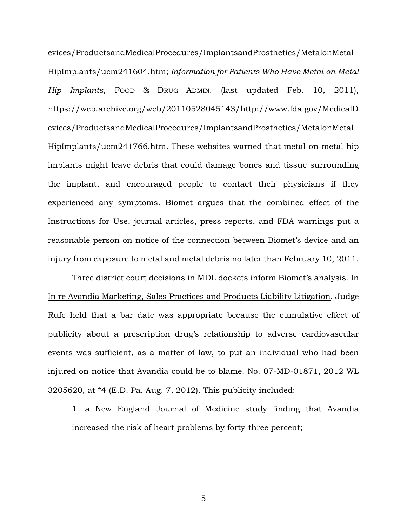evices/ProductsandMedicalProcedures/ImplantsandProsthetics/MetalonMetal HipImplants/ucm241604.htm; *Information for Patients Who Have Metal-on-Metal Hip Implants*, FOOD & DRUG ADMIN. (last updated Feb. 10, 2011), https://web.archive.org/web/20110528045143/http://www.fda.gov/MedicalD evices/ProductsandMedicalProcedures/ImplantsandProsthetics/MetalonMetal HipImplants/ucm241766.htm. These websites warned that metal-on-metal hip implants might leave debris that could damage bones and tissue surrounding the implant, and encouraged people to contact their physicians if they experienced any symptoms. Biomet argues that the combined effect of the Instructions for Use, journal articles, press reports, and FDA warnings put a reasonable person on notice of the connection between Biomet's device and an injury from exposure to metal and metal debris no later than February 10, 2011.

Three district court decisions in MDL dockets inform Biomet's analysis. In In re Avandia Marketing, Sales Practices and Products Liability Litigation, Judge Rufe held that a bar date was appropriate because the cumulative effect of publicity about a prescription drug's relationship to adverse cardiovascular events was sufficient, as a matter of law, to put an individual who had been injured on notice that Avandia could be to blame. No. 07-MD-01871, 2012 WL 3205620, at \*4 (E.D. Pa. Aug. 7, 2012). This publicity included:

1. a New England Journal of Medicine study finding that Avandia increased the risk of heart problems by forty-three percent;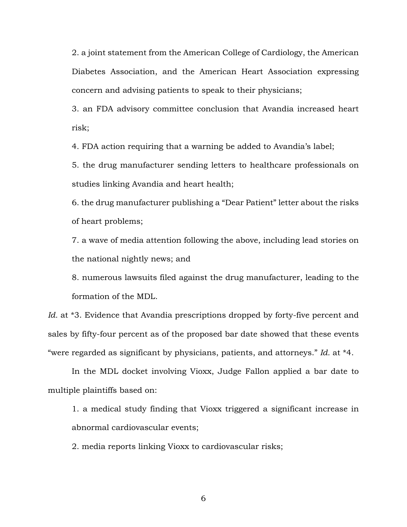2. a joint statement from the American College of Cardiology, the American Diabetes Association, and the American Heart Association expressing concern and advising patients to speak to their physicians;

3. an FDA advisory committee conclusion that Avandia increased heart risk;

4. FDA action requiring that a warning be added to Avandia's label;

5. the drug manufacturer sending letters to healthcare professionals on studies linking Avandia and heart health;

6. the drug manufacturer publishing a "Dear Patient" letter about the risks of heart problems;

7. a wave of media attention following the above, including lead stories on the national nightly news; and

8. numerous lawsuits filed against the drug manufacturer, leading to the formation of the MDL.

*Id.* at \*3. Evidence that Avandia prescriptions dropped by forty-five percent and sales by fifty-four percent as of the proposed bar date showed that these events "were regarded as significant by physicians, patients, and attorneys." *Id.* at \*4.

In the MDL docket involving Vioxx, Judge Fallon applied a bar date to multiple plaintiffs based on:

1. a medical study finding that Vioxx triggered a significant increase in abnormal cardiovascular events;

2. media reports linking Vioxx to cardiovascular risks;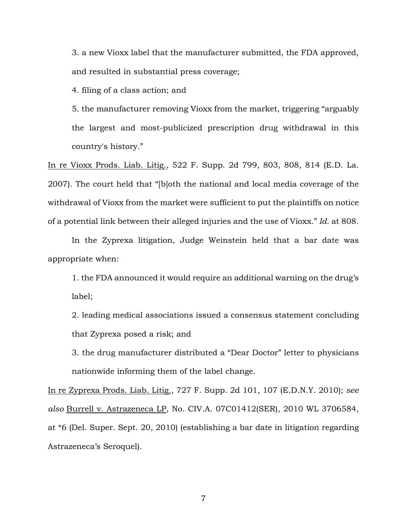3. a new Vioxx label that the manufacturer submitted, the FDA approved, and resulted in substantial press coverage;

4. filing of a class action; and

5. the manufacturer removing Vioxx from the market, triggering "arguably the largest and most-publicized prescription drug withdrawal in this country's history."

In re Vioxx Prods. Liab. Litig., 522 F. Supp. 2d 799, 803, 808, 814 (E.D. La. 2007). The court held that "[b]oth the national and local media coverage of the withdrawal of Vioxx from the market were sufficient to put the plaintiffs on notice of a potential link between their alleged injuries and the use of Vioxx." *Id.* at 808.

In the Zyprexa litigation, Judge Weinstein held that a bar date was appropriate when:

1. the FDA announced it would require an additional warning on the drug's label;

2. leading medical associations issued a consensus statement concluding that Zyprexa posed a risk; and

3. the drug manufacturer distributed a "Dear Doctor" letter to physicians nationwide informing them of the label change.

In re Zyprexa Prods. Liab. Litig., 727 F. Supp. 2d 101, 107 (E.D.N.Y. 2010); *see also* Burrell v. Astrazeneca LP, No. CIV.A. 07C01412(SER), 2010 WL 3706584, at \*6 (Del. Super. Sept. 20, 2010) (establishing a bar date in litigation regarding Astrazeneca's Seroquel).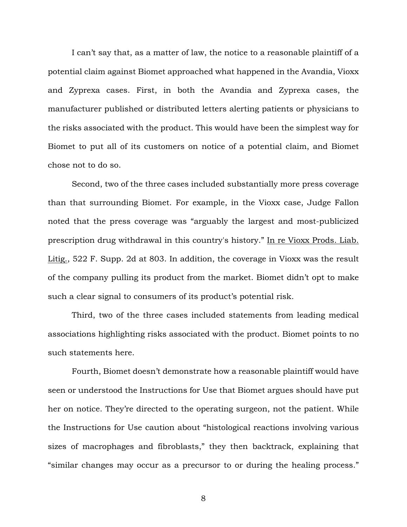I can't say that, as a matter of law, the notice to a reasonable plaintiff of a potential claim against Biomet approached what happened in the Avandia, Vioxx and Zyprexa cases. First, in both the Avandia and Zyprexa cases, the manufacturer published or distributed letters alerting patients or physicians to the risks associated with the product. This would have been the simplest way for Biomet to put all of its customers on notice of a potential claim, and Biomet chose not to do so.

Second, two of the three cases included substantially more press coverage than that surrounding Biomet. For example, in the Vioxx case, Judge Fallon noted that the press coverage was "arguably the largest and most-publicized prescription drug withdrawal in this country's history." In re Vioxx Prods. Liab. Litig., 522 F. Supp. 2d at 803. In addition, the coverage in Vioxx was the result of the company pulling its product from the market. Biomet didn't opt to make such a clear signal to consumers of its product's potential risk.

Third, two of the three cases included statements from leading medical associations highlighting risks associated with the product. Biomet points to no such statements here.

Fourth, Biomet doesn't demonstrate how a reasonable plaintiff would have seen or understood the Instructions for Use that Biomet argues should have put her on notice. They're directed to the operating surgeon, not the patient. While the Instructions for Use caution about "histological reactions involving various sizes of macrophages and fibroblasts," they then backtrack, explaining that "similar changes may occur as a precursor to or during the healing process."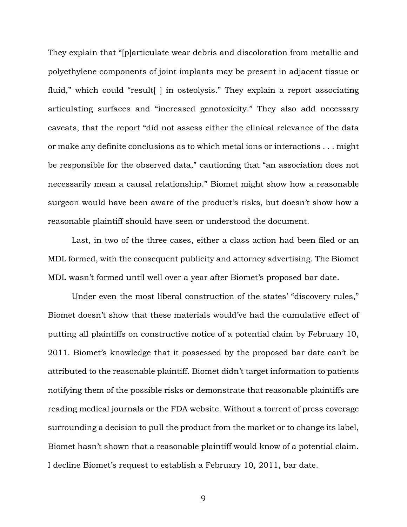They explain that "[p]articulate wear debris and discoloration from metallic and polyethylene components of joint implants may be present in adjacent tissue or fluid," which could "result[ ] in osteolysis." They explain a report associating articulating surfaces and "increased genotoxicity." They also add necessary caveats, that the report "did not assess either the clinical relevance of the data or make any definite conclusions as to which metal ions or interactions . . . might be responsible for the observed data," cautioning that "an association does not necessarily mean a causal relationship." Biomet might show how a reasonable surgeon would have been aware of the product's risks, but doesn't show how a reasonable plaintiff should have seen or understood the document.

Last, in two of the three cases, either a class action had been filed or an MDL formed, with the consequent publicity and attorney advertising. The Biomet MDL wasn't formed until well over a year after Biomet's proposed bar date.

Under even the most liberal construction of the states' "discovery rules," Biomet doesn't show that these materials would've had the cumulative effect of putting all plaintiffs on constructive notice of a potential claim by February 10, 2011. Biomet's knowledge that it possessed by the proposed bar date can't be attributed to the reasonable plaintiff. Biomet didn't target information to patients notifying them of the possible risks or demonstrate that reasonable plaintiffs are reading medical journals or the FDA website. Without a torrent of press coverage surrounding a decision to pull the product from the market or to change its label, Biomet hasn't shown that a reasonable plaintiff would know of a potential claim. I decline Biomet's request to establish a February 10, 2011, bar date.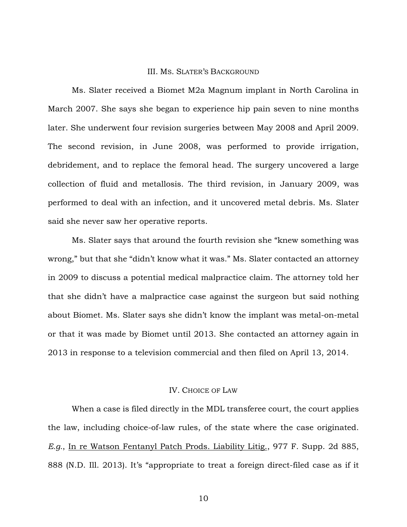#### III. MS. SLATER'S BACKGROUND

Ms. Slater received a Biomet M2a Magnum implant in North Carolina in March 2007. She says she began to experience hip pain seven to nine months later. She underwent four revision surgeries between May 2008 and April 2009. The second revision, in June 2008, was performed to provide irrigation, debridement, and to replace the femoral head. The surgery uncovered a large collection of fluid and metallosis. The third revision, in January 2009, was performed to deal with an infection, and it uncovered metal debris. Ms. Slater said she never saw her operative reports.

Ms. Slater says that around the fourth revision she "knew something was wrong," but that she "didn't know what it was." Ms. Slater contacted an attorney in 2009 to discuss a potential medical malpractice claim. The attorney told her that she didn't have a malpractice case against the surgeon but said nothing about Biomet. Ms. Slater says she didn't know the implant was metal-on-metal or that it was made by Biomet until 2013. She contacted an attorney again in 2013 in response to a television commercial and then filed on April 13, 2014.

## IV. CHOICE OF LAW

When a case is filed directly in the MDL transferee court, the court applies the law, including choice-of-law rules, of the state where the case originated. *E.g.*, In re Watson Fentanyl Patch Prods. Liability Litig., 977 F. Supp. 2d 885, 888 (N.D. Ill. 2013). It's "appropriate to treat a foreign direct-filed case as if it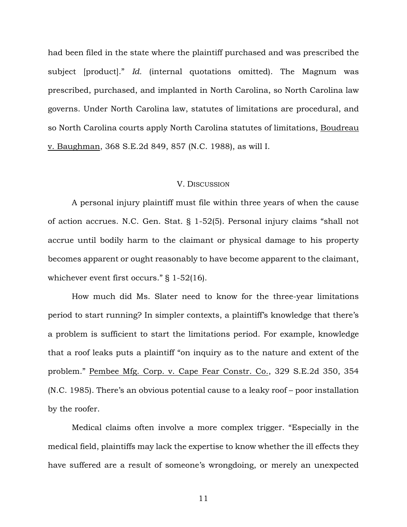had been filed in the state where the plaintiff purchased and was prescribed the subject [product]." *Id.* (internal quotations omitted). The Magnum was prescribed, purchased, and implanted in North Carolina, so North Carolina law governs. Under North Carolina law, statutes of limitations are procedural, and so North Carolina courts apply North Carolina statutes of limitations, Boudreau v. Baughman, 368 S.E.2d 849, 857 (N.C. 1988), as will I.

#### V. DISCUSSION

A personal injury plaintiff must file within three years of when the cause of action accrues. N.C. Gen. Stat. § 1-52(5). Personal injury claims "shall not accrue until bodily harm to the claimant or physical damage to his property becomes apparent or ought reasonably to have become apparent to the claimant, whichever event first occurs." § 1-52(16).

How much did Ms. Slater need to know for the three-year limitations period to start running? In simpler contexts, a plaintiff's knowledge that there's a problem is sufficient to start the limitations period. For example, knowledge that a roof leaks puts a plaintiff "on inquiry as to the nature and extent of the problem." Pembee Mfg. Corp. v. Cape Fear Constr. Co., 329 S.E.2d 350, 354 (N.C. 1985). There's an obvious potential cause to a leaky roof – poor installation by the roofer.

Medical claims often involve a more complex trigger. "Especially in the medical field, plaintiffs may lack the expertise to know whether the ill effects they have suffered are a result of someone's wrongdoing, or merely an unexpected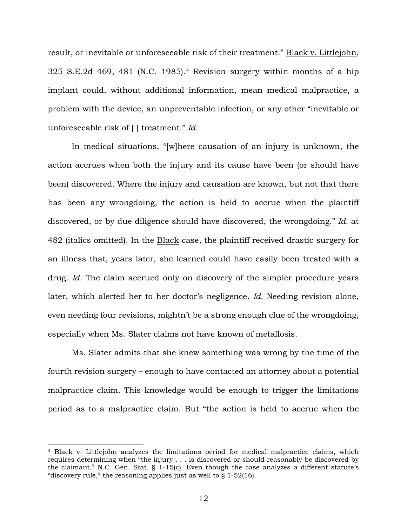result, or inevitable or unforeseeable risk of their treatment." Black v. Littlejohn, 325 S.E.2d 469, 481 (N.C. 1985).4 Revision surgery within months of a hip implant could, without additional information, mean medical malpractice, a problem with the device, an unpreventable infection, or any other "inevitable or unforeseeable risk of [ ] treatment." *Id.* 

In medical situations, "[w]here causation of an injury is unknown, the action accrues when both the injury and its cause have been (or should have been) discovered. Where the injury and causation are known, but not that there has been any wrongdoing, the action is held to accrue when the plaintiff discovered, or by due diligence should have discovered, the wrongdoing." *Id.* at 482 (italics omitted). In the Black case, the plaintiff received drastic surgery for an illness that, years later, she learned could have easily been treated with a drug. *Id.* The claim accrued only on discovery of the simpler procedure years later, which alerted her to her doctor's negligence. *Id.* Needing revision alone, even needing four revisions, mightn't be a strong enough clue of the wrongdoing, especially when Ms. Slater claims not have known of metallosis.

Ms. Slater admits that she knew something was wrong by the time of the fourth revision surgery – enough to have contacted an attorney about a potential malpractice claim. This knowledge would be enough to trigger the limitations period as to a malpractice claim. But "the action is held to accrue when the

 $\overline{a}$ 

<sup>&</sup>lt;sup>4</sup> Black v. Littlejohn analyzes the limitations period for medical malpractice claims, which requires determining when "the injury . . . is discovered or should reasonably be discovered by the claimant." N.C. Gen. Stat. § 1-15(c). Even though the case analyzes a different statute's "discovery rule," the reasoning applies just as well to  $\S 1-52(16)$ .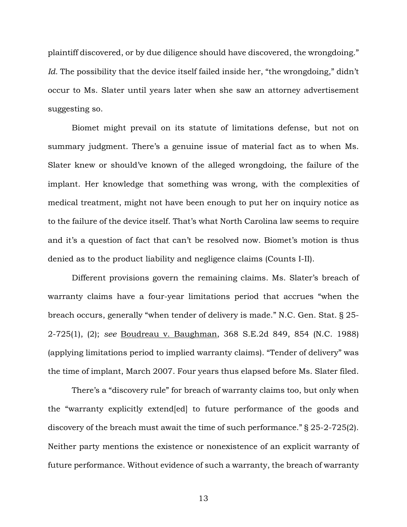plaintiff discovered, or by due diligence should have discovered, the wrongdoing." Id. The possibility that the device itself failed inside her, "the wrongdoing," didn't occur to Ms. Slater until years later when she saw an attorney advertisement suggesting so.

Biomet might prevail on its statute of limitations defense, but not on summary judgment. There's a genuine issue of material fact as to when Ms. Slater knew or should've known of the alleged wrongdoing, the failure of the implant. Her knowledge that something was wrong, with the complexities of medical treatment, might not have been enough to put her on inquiry notice as to the failure of the device itself. That's what North Carolina law seems to require and it's a question of fact that can't be resolved now. Biomet's motion is thus denied as to the product liability and negligence claims (Counts I-II).

Different provisions govern the remaining claims. Ms. Slater's breach of warranty claims have a four-year limitations period that accrues "when the breach occurs, generally "when tender of delivery is made." N.C. Gen. Stat. § 25- 2-725(1), (2); *see* Boudreau v. Baughman, 368 S.E.2d 849, 854 (N.C. 1988) (applying limitations period to implied warranty claims). "Tender of delivery" was the time of implant, March 2007. Four years thus elapsed before Ms. Slater filed.

There's a "discovery rule" for breach of warranty claims too, but only when the "warranty explicitly extend[ed] to future performance of the goods and discovery of the breach must await the time of such performance." § 25-2-725(2). Neither party mentions the existence or nonexistence of an explicit warranty of future performance. Without evidence of such a warranty, the breach of warranty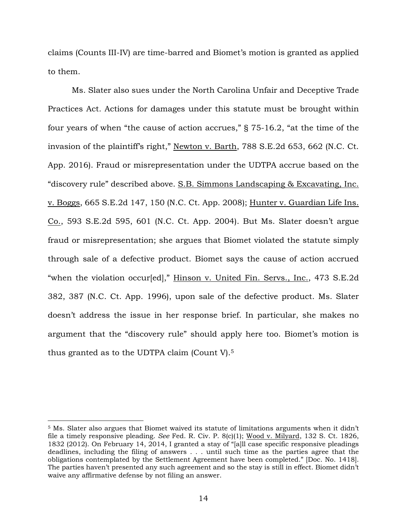claims (Counts III-IV) are time-barred and Biomet's motion is granted as applied to them.

Ms. Slater also sues under the North Carolina Unfair and Deceptive Trade Practices Act*.* Actions for damages under this statute must be brought within four years of when "the cause of action accrues," § 75-16.2, "at the time of the invasion of the plaintiff's right," Newton v. Barth, 788 S.E.2d 653, 662 (N.C. Ct. App. 2016). Fraud or misrepresentation under the UDTPA accrue based on the "discovery rule" described above. S.B. Simmons Landscaping & Excavating, Inc. v. Boggs, 665 S.E.2d 147, 150 (N.C. Ct. App. 2008); Hunter v. Guardian Life Ins. Co., 593 S.E.2d 595, 601 (N.C. Ct. App. 2004). But Ms. Slater doesn't argue fraud or misrepresentation; she argues that Biomet violated the statute simply through sale of a defective product. Biomet says the cause of action accrued "when the violation occur[ed]," Hinson v. United Fin. Servs., Inc., 473 S.E.2d 382, 387 (N.C. Ct. App. 1996), upon sale of the defective product. Ms. Slater doesn't address the issue in her response brief. In particular, she makes no argument that the "discovery rule" should apply here too. Biomet's motion is thus granted as to the UDTPA claim (Count V).<sup>5</sup>

 $\overline{a}$ 

<sup>5</sup> Ms. Slater also argues that Biomet waived its statute of limitations arguments when it didn't file a timely responsive pleading. *See* Fed. R. Civ. P. 8(c)(1); Wood v. Milyard, 132 S. Ct. 1826, 1832 (2012). On February 14, 2014, I granted a stay of "[a]ll case specific responsive pleadings deadlines, including the filing of answers . . . until such time as the parties agree that the obligations contemplated by the Settlement Agreement have been completed." [Doc. No. 1418]. The parties haven't presented any such agreement and so the stay is still in effect. Biomet didn't waive any affirmative defense by not filing an answer.